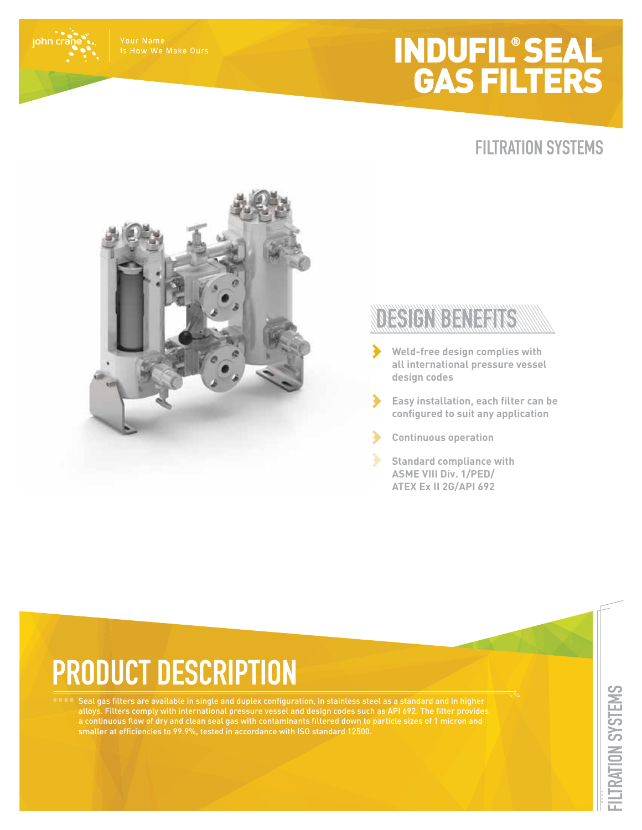## INDUFIL® SEAL GAS FILTERS



Is How We Make Ours

john cra

### DESIGNIBULARIS

- **Weld-free design complies with all international pressure vessel design codes**
- $\blacktriangleright$ **Easy installation, each filter can be configured to suit any application**
	- **Continuous operation**
	- **Standard compliance with ASME VIII Div. 1/PED/ ATEX Ex II 2G/API 692**

# **PRODUCT DESCRIPTION**

Seal gas filters are available in single and duplex configuration, in stainless steel as a standard and in higher alloys. Filters comply with international pressure vessel and design codes such as API 692. The filter provides a continuous flow of dry and clean seal gas with contaminants filtered down to particle sizes of 1 micron and smaller at efficiencies to 99.9%, tested in accordance with ISO standard 12500.